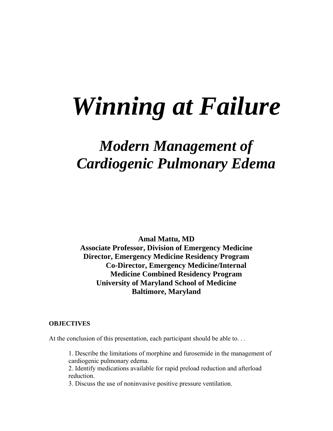# *Winning at Failure*

# *Modern Management of Cardiogenic Pulmonary Edema*

**Amal Mattu, MD Associate Professor, Division of Emergency Medicine Director, Emergency Medicine Residency Program Co-Director, Emergency Medicine/Internal Medicine Combined Residency Program University of Maryland School of Medicine Baltimore, Maryland** 

#### **OBJECTIVES**

At the conclusion of this presentation, each participant should be able to...

1. Describe the limitations of morphine and furosemide in the management of cardiogenic pulmonary edema.

2. Identify medications available for rapid preload reduction and afterload reduction.

3. Discuss the use of noninvasive positive pressure ventilation.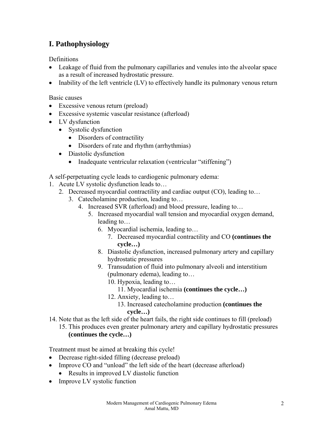# **I. Pathophysiology**

Definitions

- Leakage of fluid from the pulmonary capillaries and venules into the alveolar space as a result of increased hydrostatic pressure.
- Inability of the left ventricle (LV) to effectively handle its pulmonary venous return

Basic causes

- Excessive venous return (preload)
- Excessive systemic vascular resistance (afterload)
- LV dysfunction
	- Systolic dysfunction
		- Disorders of contractility
		- Disorders of rate and rhythm (arrhythmias)
	- Diastolic dysfunction
		- Inadequate ventricular relaxation (ventricular "stiffening")

A self-perpetuating cycle leads to cardiogenic pulmonary edema:

- 1. Acute LV systolic dysfunction leads to…
	- 2. Decreased myocardial contractility and cardiac output (CO), leading to…
		- 3. Catecholamine production, leading to…
			- 4. Increased SVR (afterload) and blood pressure, leading to…
				- 5. Increased myocardial wall tension and myocardial oxygen demand, leading to…
					- 6. Myocardial ischemia, leading to…
						- 7. Decreased myocardial contractility and CO **(continues the cycle…)**
					- 8. Diastolic dysfunction, increased pulmonary artery and capillary hydrostatic pressures
					- 9. Transudation of fluid into pulmonary alveoli and interstitium (pulmonary edema), leading to…
						- 10. Hypoxia, leading to…
							- 11. Myocardial ischemia **(continues the cycle…)**
						- 12. Anxiety, leading to…
							- 13. Increased catecholamine production **(continues the cycle…)**
- 14. Note that as the left side of the heart fails, the right side continues to fill (preload)
	- 15. This produces even greater pulmonary artery and capillary hydrostatic pressures **(continues the cycle…)**

Treatment must be aimed at breaking this cycle!

- Decrease right-sided filling (decrease preload)
- Improve CO and "unload" the left side of the heart (decrease afterload)
	- Results in improved LV diastolic function
- Improve LV systolic function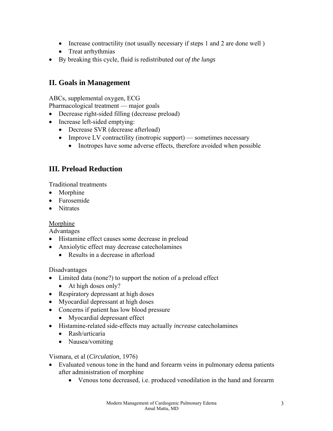- Increase contractility (not usually necessary if steps 1 and 2 are done well)
- Treat arrhythmias
- By breaking this cycle, fluid is redistributed *out of the lungs*

## **II. Goals in Management**

ABCs, supplemental oxygen, ECG

Pharmacological treatment — major goals

- Decrease right-sided filling (decrease preload)
- Increase left-sided emptying:
	- Decrease SVR (decrease afterload)
	- Improve LV contractility (inotropic support) sometimes necessary
		- Inotropes have some adverse effects, therefore avoided when possible

# **III. Preload Reduction**

Traditional treatments

- Morphine
- Furosemide
- Nitrates

#### Morphine

Advantages

- Histamine effect causes some decrease in preload
- Anxiolytic effect may decrease cate cholamines
	- Results in a decrease in afterload

Disadvantages

- Limited data (none?) to support the notion of a preload effect
	- At high doses only?
- Respiratory depressant at high doses
- Myocardial depressant at high doses
- Concerns if patient has low blood pressure
	- Myocardial depressant effect
- Histamine-related side-effects may actually *increase* catecholamines
	- Rash/urticaria
	- Nausea/vomiting

#### Vismara, et al (*Circulation*, 1976)

- Evaluated venous tone in the hand and forearm veins in pulmonary edema patients after administration of morphine
	- Venous tone decreased, i.e. produced venodilation in the hand and forearm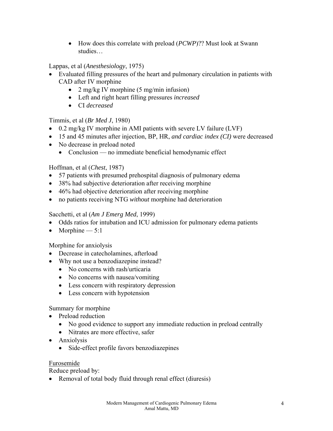• How does this correlate with preload (*PCWP*)?? Must look at Swann studies…

Lappas, et al (*Anesthesiology*, 1975)

- Evaluated filling pressures of the heart and pulmonary circulation in patients with CAD after IV morphine
	- 2 mg/kg IV morphine (5 mg/min infusion)
	- Left and right heart filling pressures *increased*
	- CI *decreased*

#### Timmis, et al (*Br Med J*, 1980)

- 0.2 mg/kg IV morphine in AMI patients with severe LV failure (LVF)
- 15 and 45 minutes after injection, BP, HR, *and cardiac index (CI)* were decreased
- No decrease in preload noted
	- Conclusion no immediate beneficial hemodynamic effect

#### Hoffman, et al (*Chest*, 1987)

- 57 patients with presumed prehospital diagnosis of pulmonary edema
- 38% had subjective deterioration after receiving morphine
- 46% had objective deterioration after receiving morphine
- no patients receiving NTG *without* morphine had deterioration

#### Sacchetti, et al (*Am J Emerg Med*, 1999)

- Odds ratios for intubation and ICU admission for pulmonary edema patients
- Morphine  $-5:1$

#### Morphine for anxiolysis

- Decrease in catecholamines, afterload
- Why not use a benzodiazepine instead?
	- No concerns with rash/urticaria
	- No concerns with nausea/vomiting
	- Less concern with respiratory depression
	- Less concern with hypotension

### Summary for morphine

- Preload reduction
	- No good evidence to support any immediate reduction in preload centrally
	- Nitrates are more effective, safer
- Anxiolysis
	- Side-effect profile favors benzodiazepines

#### Furosemide

Reduce preload by:

• Removal of total body fluid through renal effect (diuresis)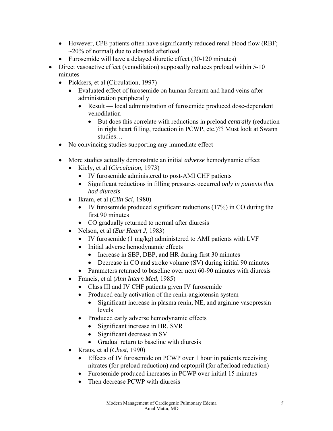- However, CPE patients often have significantly reduced renal blood flow (RBF;  $\sim$ 20% of normal) due to elevated afterload
- Furosemide will have a delayed diuretic effect (30-120 minutes)
- Direct vasoactive effect (venodilation) supposedly reduces preload within 5-10 minutes
	- Pickkers, et al (Circulation, 1997)
		- Evaluated effect of furosemide on human forearm and hand veins after administration peripherally
			- Result local administration of furosemide produced dose-dependent venodilation
				- But does this correlate with reductions in preload *centrally* (reduction in right heart filling, reduction in PCWP, etc.)?? Must look at Swann studies…
	- No convincing studies supporting any immediate effect
	- More studies actually demonstrate an initial *adverse* hemodynamic effect
		- Kiely, et al (*Circulation*, 1973)
			- IV furosemide administered to post-AMI CHF patients
			- Significant reductions in filling pressures occurred *only in patients that had diuresis*
		- Ikram, et al (*Clin Sci*, 1980)
			- IV furosemide produced significant reductions (17%) in CO during the first 90 minutes
			- CO gradually returned to normal after diuresis
		- Nelson, et al (*Eur Heart J*, 1983)
			- IV furosemide (1 mg/kg) administered to AMI patients with LVF
			- Initial adverse hemodynamic effects
				- Increase in SBP, DBP, and HR during first 30 minutes
				- Decrease in CO and stroke volume (SV) during initial 90 minutes
			- Parameters returned to baseline over next 60-90 minutes with diuresis
		- Francis, et al (*Ann Intern Med*, 1985)
			- Class III and IV CHF patients given IV furosemide
			- Produced early activation of the renin-angiotensin system
				- Significant increase in plasma renin, NE, and arginine vasopressin levels
			- Produced early adverse hemodynamic effects
				- Significant increase in HR, SVR
				- Significant decrease in SV
				- Gradual return to baseline with diuresis
		- Kraus, et al (*Chest*, 1990)
			- Effects of IV furosemide on PCWP over 1 hour in patients receiving nitrates (for preload reduction) and captopril (for afterload reduction)
			- Furosemide produced increases in PCWP over initial 15 minutes
			- Then decrease PCWP with diuresis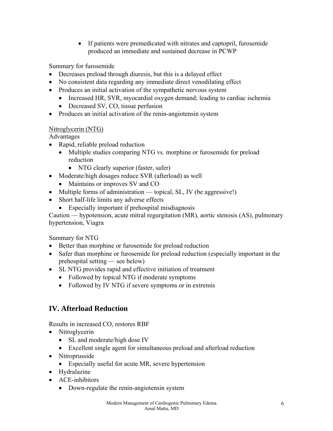• If patients were premedicated with nitrates and captopril, furosemide produced an immediate and sustained decrease in PCWP

Summary for furosemide

- Decreases preload through diuresis, but this is a delayed effect
- No consistent data regarding any immediate direct venodilating effect
- Produces an initial activation of the sympathetic nervous system
	- Increased HR, SVR, myocardial oxygen demand; leading to cardiac ischemia
	- Decreased SV, CO, tissue perfusion
- Produces an initial activation of the renin-angiotensin system

#### Nitroglycerin (NTG)

Advantages

- Rapid, reliable preload reduction
	- Multiple studies comparing NTG vs. morphine or furosemide for preload reduction
		- NTG clearly superior (faster, safer)
- Moderate/high dosages reduce SVR (afterload) as well
	- Maintains or improves SV and CO
- Multiple forms of administration topical, SL, IV (be aggressive!)
- Short half-life limits any adverse effects
	- Especially important if prehospital misdiagnosis

Caution — hypotension, acute mitral regurgitation (MR), aortic stenosis (AS), pulmonary hypertension, Viagra

Summary for NTG

- Better than morphine or furosemide for preload reduction
- Safer than morphine or furosemide for preload reduction (especially important in the prehospital setting — see below)
- SL NTG provides rapid and effective initiation of treatment
	- Followed by topical NTG if moderate symptoms
	- Followed by IV NTG if severe symptoms or in extremis

# **IV. Afterload Reduction**

Results in increased CO, restores RBF

- Nitroglycerin
	- SL and moderate/high dose IV
	- Excellent single agent for simultaneous preload and afterload reduction
- Nitroprusside
	- Especially useful for acute MR, severe hypertension
- Hydralazine
- ACE-inhibitors
	- Down-regulate the renin-angiotensin system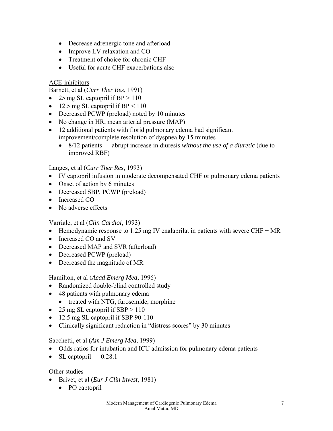- Decrease adrenergic tone and afterload
- Improve LV relaxation and CO
- Treatment of choice for chronic CHF
- Useful for acute CHF exacerbations also

#### ACE-inhibitors

Barnett, et al (*Curr Ther Res*, 1991)

- 25 mg SL captopril if  $BP > 110$
- 12.5 mg SL captopril if BP  $\leq 110$
- Decreased PCWP (preload) noted by 10 minutes
- No change in HR, mean arterial pressure (MAP)
- 12 additional patients with florid pulmonary edema had significant improvement/complete resolution of dyspnea by 15 minutes
	- 8/12 patients abrupt increase in diuresis *without the use of a diuretic* (due to improved RBF)

Langes, et al (*Curr Ther Res*, 1993)

- IV captopril infusion in moderate decompensated CHF or pulmonary edema patients
- Onset of action by 6 minutes
- Decreased SBP, PCWP (preload)
- Increased CO
- No adverse effects

#### Varriale, et al (*Clin Cardiol*, 1993)

- Hemodynamic response to 1.25 mg IV enalaprilat in patients with severe CHF  $+$  MR
- Increased CO and SV
- Decreased MAP and SVR (afterload)
- Decreased PCWP (preload)
- Decreased the magnitude of MR

Hamilton, et al (*Acad Emerg Med*, 1996)

- Randomized double-blind controlled study
- 48 patients with pulmonary edema
	- treated with NTG, furosemide, morphine
- 25 mg SL captopril if SBP  $> 110$
- 12.5 mg SL captopril if SBP 90-110
- Clinically significant reduction in "distress scores" by 30 minutes

#### Sacchetti, et al (*Am J Emerg Med*, 1999)

- Odds ratios for intubation and ICU admission for pulmonary edema patients
- SL captopril  $-0.28:1$

Other studies

- Brivet, et al (*Eur J Clin Invest*, 1981)
	- PO captopril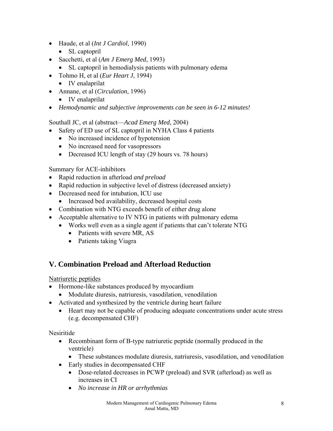- Haude, et al (*Int J Cardiol*, 1990)
	- SL captopril
- Sacchetti, et al (*Am J Emerg Med*, 1993)
	- SL captopril in hemodialysis patients with pulmonary edema
- Tohmo H, et al (*Eur Heart J*, 1994)
	- IV enalaprilat
- Annane, et al (*Circulation*, 1996)
	- IV enalaprilat
- *Hemodynamic and subjective improvements can be seen in 6-12 minutes!*

Southall JC, et al (abstract—*Acad Emerg Med*, 2004)

- Safety of ED use of SL captopril in NYHA Class 4 patients
	- No increased incidence of hypotension
	- No increased need for vasopressors
	- Decreased ICU length of stay (29 hours vs. 78 hours)

Summary for ACE-inhibitors

- Rapid reduction in afterload *and preload*
- Rapid reduction in subjective level of distress (decreased anxiety)
- Decreased need for intubation, ICU use
	- Increased bed availability, decreased hospital costs
- Combination with NTG exceeds benefit of either drug alone
- Acceptable alternative to IV NTG in patients with pulmonary edema
	- Works well even as a single agent if patients that can't tolerate NTG
		- Patients with severe MR, AS
		- Patients taking Viagra

# **V. Combination Preload and Afterload Reduction**

Natriuretic peptides

- Hormone-like substances produced by myocardium
	- Modulate diuresis, natriuresis, vasodilation, venodilation
- Activated and synthesized by the ventricle during heart failure
	- Heart may not be capable of producing adequate concentrations under acute stress (e.g. decompensated CHF)

Nesiritide

- Recombinant form of B-type natriuretic peptide (normally produced in the ventricle)
	- These substances modulate diuresis, natriuresis, vasodilation, and venodilation
- Early studies in decompensated CHF
	- Dose-related decreases in PCWP (preload) and SVR (afterload) as well as increases in CI
	- *No increase in HR or arrhythmias*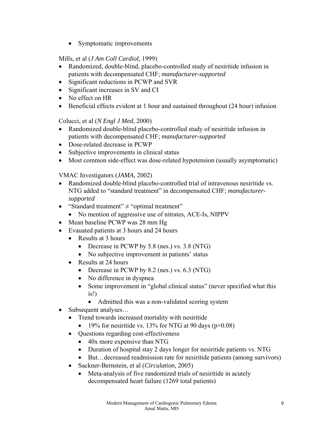• Symptomatic improvements

#### Mills, et al (*J Am Coll Cardiol*, 1999)

- Randomized, double-blind, placebo-controlled study of nesiritide infusion in patients with decompensated CHF; *manufacturer-supported*
- Significant reductions in PCWP and SVR
- Significant increases in SV and CI
- No effect on HR
- Beneficial effects evident at 1 hour and sustained throughout (24 hour) infusion

Colucci, et al (*N Engl J Med*, 2000)

- Randomized double-blind placebo-controlled study of nesiritide infusion in patients with decompensated CHF; *manufacturer-supported*
- Dose-related decrease in PCWP
- Subjective improvements in clinical status
- Most common side-effect was dose-related hypotension (usually asymptomatic)

VMAC Investigators (*JAMA*, 2002)

- Randomized double-blind placebo-controlled trial of intravenous nesiritide vs. NTG added to "standard treatment" in decompensated CHF; *manufacturersupported*
- "Standard treatment"  $\neq$  "optimal treatment"
	- No mention of aggressive use of nitrates, ACE-Is, NIPPV
- Mean baseline PCWP was 28 mm Hg
- Evauated patients at 3 hours and 24 hours
	- Results at 3 hours
		- Decrease in PCWP by 5.8 (nes.) vs. 3.8 (NTG)
		- No subjective improvement in patients' status
	- Results at 24 hours
		- Decrease in PCWP by 8.2 (nes.) vs. 6.3 (NTG)
		- No difference in dyspnea
		- Some improvement in "global clinical status" (never specified what this is!)
			- Admitted this was a non-validated scoring system
- Subsequent analyses...
	- Trend towards increased mortality with nesiritide
		- 19% for nesiritide vs. 13% for NTG at 90 days ( $p=0.08$ )
	- Questions regarding cost-effectiveness
		- 40x more expensive than NTG
		- Duration of hospital stay 2 days longer for nesiritide patients vs. NTG
		- But... decreased readmission rate for nesiritide patients (among survivors)
	- Sackner-Bernstein, et al (*Circulation*, 2005)
		- Meta-analysis of five randomized trials of nesiritide in acutely decompensated heart failure (1269 total patients)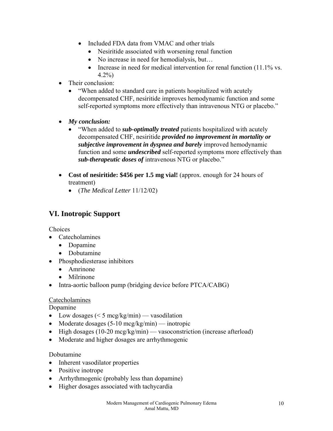- Included FDA data from VMAC and other trials
	- Nesiritide associated with worsening renal function
	- No increase in need for hemodialysis, but...
	- Increase in need for medical intervention for renal function (11.1% vs. 4.2%)
- Their conclusion:
	- "When added to standard care in patients hospitalized with acutely decompensated CHF, nesiritide improves hemodynamic function and some self-reported symptoms more effectively than intravenous NTG or placebo."
- *My conclusion:* 
	- "When added to *sub-optimally treated* patients hospitalized with acutely decompensated CHF, nesiritide *provided no improvement in mortality or subjective improvement in dyspnea and barely* improved hemodynamic function and some *undescribed* self-reported symptoms more effectively than *sub-therapeutic doses of* intravenous NTG or placebo."
- **Cost of nesiritide: \$456 per 1.5 mg vial!** (approx. enough for 24 hours of treatment)
	- (*The Medical Letter* 11/12/02)

# **VI. Inotropic Support**

Choices

- Catecholamines
	- Dopamine
	- Dobutamine
- Phosphodiesterase inhibitors
	- Amrinone
	- Milrinone
- Intra-aortic balloon pump (bridging device before PTCA/CABG)

#### Catecholamines

Dopamine

- Low dosages  $(< 5 \text{~mcg/kg/min})$  vasodilation
- Moderate dosages  $(5-10 \text{~mcg/kg/min})$  inotropic
- High dosages (10-20 mcg/kg/min) vasoconstriction (increase afterload)
- Moderate and higher dosages are arrhythmogenic

#### Dobutamine

- Inherent vasodilator properties
- Positive inotrope
- Arrhythmogenic (probably less than dopamine)
- Higher dosages associated with tachycardia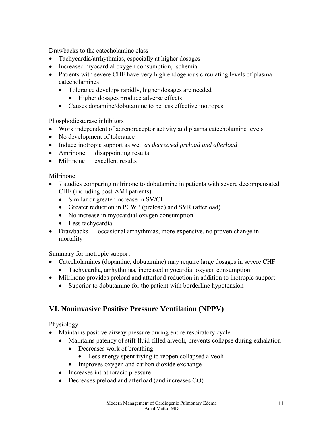Drawbacks to the catecholamine class

- Tachycardia/arrhythmias, especially at higher dosages
- Increased myocardial oxygen consumption, ischemia
- Patients with severe CHF have very high endogenous circulating levels of plasma catecholamines
	- Tolerance develops rapidly, higher dosages are needed
		- Higher dosages produce adverse effects
	- Causes dopamine/dobutamine to be less effective inotropes

#### Phosphodiesterase inhibitors

- Work independent of adrenoreceptor activity and plasma catecholamine levels
- No development of tolerance
- Induce inotropic support as well *as decreased preload and afterload*
- Amrinone disappointing results
- Milrinone excellent results

#### Milrinone

- 7 studies comparing milrinone to dobutamine in patients with severe decompensated CHF (including post-AMI patients)
	- Similar or greater increase in SV/CI
	- Greater reduction in PCWP (preload) and SVR (afterload)
	- No increase in myocardial oxygen consumption
	- Less tachycardia
- Drawbacks occasional arrhythmias, more expensive, no proven change in mortality

#### Summary for inotropic support

- Catecholamines (dopamine, dobutamine) may require large dosages in severe CHF
	- Tachycardia, arrhythmias, increased myocardial oxygen consumption
- Milrinone provides preload and afterload reduction in addition to inotropic support
	- Superior to dobutamine for the patient with borderline hypotension

# **VI. Noninvasive Positive Pressure Ventilation (NPPV)**

#### Physiology

- Maintains positive airway pressure during entire respiratory cycle
	- Maintains patency of stiff fluid-filled alveoli, prevents collapse during exhalation
		- Decreases work of breathing
			- Less energy spent trying to reopen collapsed alveoli
		- Improves oxygen and carbon dioxide exchange
	- Increases intrathoracic pressure
	- Decreases preload and afterload (and increases CO)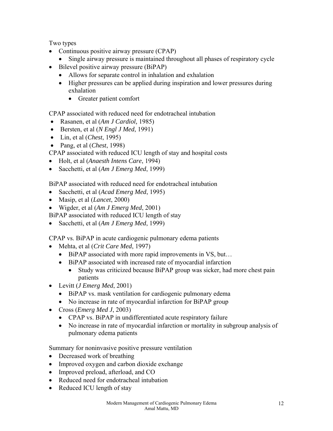Two types

- Continuous positive airway pressure (CPAP)
	- Single airway pressure is maintained throughout all phases of respiratory cycle
- Bilevel positive airway pressure (BiPAP)
	- Allows for separate control in inhalation and exhalation
	- Higher pressures can be applied during inspiration and lower pressures during exhalation
		- Greater patient comfort

CPAP associated with reduced need for endotracheal intubation

- Rasanen, et al (*Am J Cardiol,* 1985)
- Bersten, et al (*N Engl J Med*, 1991)
- Lin, et al (*Chest*, 1995)
- Pang, et al (*Chest*, 1998)

CPAP associated with reduced ICU length of stay and hospital costs

- Holt, et al (*Anaesth Intens Care*, 1994)
- Sacchetti, et al (*Am J Emerg Med*, 1999)

BiPAP associated with reduced need for endotracheal intubation

- Sacchetti, et al (*Acad Emerg Med*, 1995)
- Masip, et al (*Lancet*, 2000)
- Wigder, et al (*Am J Emerg Med*, 2001)

BiPAP associated with reduced ICU length of stay

• Sacchetti, et al (*Am J Emerg Med*, 1999)

CPAP vs. BiPAP in acute cardiogenic pulmonary edema patients

- Mehta, et al (*Crit Care Med*, 1997)
	- BiPAP associated with more rapid improvements in VS, but...
	- BiPAP associated with increased rate of myocardial infarction
		- Study was criticized because BiPAP group was sicker, had more chest pain patients
- Levitt (*J Emerg Med*, 2001)
	- BiPAP vs. mask ventilation for cardiogenic pulmonary edema
	- No increase in rate of myocardial infarction for BiPAP group
- Cross (*Emerg Med J*, 2003)
	- CPAP vs. BiPAP in undifferentiated acute respiratory failure
	- No increase in rate of myocardial infarction or mortality in subgroup analysis of pulmonary edema patients

Summary for noninvasive positive pressure ventilation

- Decreased work of breathing
- Improved oxygen and carbon dioxide exchange
- Improved preload, afterload, and CO
- Reduced need for endotracheal intubation
- Reduced ICU length of stay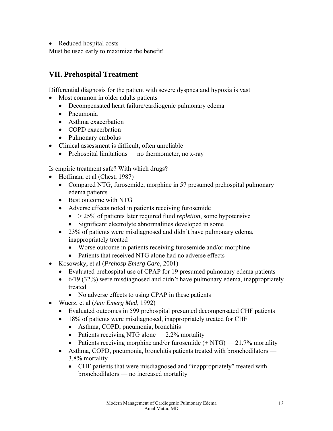• Reduced hospital costs

Must be used early to maximize the benefit!

# **VII. Prehospital Treatment**

Differential diagnosis for the patient with severe dyspnea and hypoxia is vast

- Most common in older adults patients
	- Decompensated heart failure/cardiogenic pulmonary edema
	- Pneumonia
	- Asthma exacerbation
	- COPD exacerbation
	- Pulmonary embolus
- Clinical assessment is difficult, often unreliable
	- Prehospital limitations no thermometer, no x-ray

Is empiric treatment safe? With which drugs?

- Hoffman, et al (Chest, 1987)
	- Compared NTG, furosemide, morphine in 57 presumed prehospital pulmonary edema patients
	- Best outcome with NTG
	- Adverse effects noted in patients receiving furosemide
		- > 25% of patients later required fluid *repletion*, some hypotensive
		- Significant electrolyte abnormalities developed in some
	- 23% of patients were misdiagnosed and didn't have pulmonary edema, inappropriately treated
		- Worse outcome in patients receiving furosemide and/or morphine
		- Patients that received NTG alone had no adverse effects
- Kosowsky, et al (*Prehosp Emerg Care*, 2001)
	- Evaluated prehospital use of CPAP for 19 presumed pulmonary edema patients
	- 6/19 (32%) were misdiagnosed and didn't have pulmonary edema, inappropriately treated
		- No adverse effects to using CPAP in these patients
- Wuerz, et al (*Ann Emerg Med*, 1992)
	- Evaluated outcomes in 599 prehospital presumed decompensated CHF patients
	- 18% of patients were misdiagnosed, inappropriately treated for CHF
		- Asthma, COPD, pneumonia, bronchitis
		- Patients receiving NTG alone  $-2.2\%$  mortality
		- Patients receiving morphine and/or furosemide  $(+ NTG)$   $21.7\%$  mortality
	- Asthma, COPD, pneumonia, bronchitis patients treated with bronchodilators 3.8% mortality
		- CHF patients that were misdiagnosed and "inappropriately" treated with bronchodilators — no increased mortality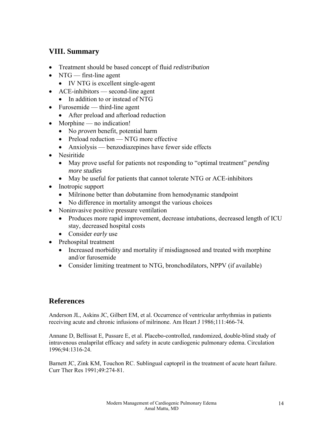# **VIII. Summary**

- Treatment should be based concept of fluid *redistribution*
- NTG first-line agent
	- IV NTG is excellent single-agent
- ACE-inhibitors second-line agent
	- In addition to or instead of NTG
- Furosemide third-line agent
	- After preload and afterload reduction
- Morphine no indication!
	- No *proven* benefit, potential harm
	- Preload reduction NTG more effective
	- Anxiolysis benzodiazepines have fewer side effects
- Nesiritide
	- May prove useful for patients not responding to "optimal treatment" *pending more studies*
	- May be useful for patients that cannot tolerate NTG or ACE-inhibitors
- Inotropic support
	- Milrinone better than dobutamine from hemodynamic standpoint
	- No difference in mortality amongst the various choices
- Noninvasive positive pressure ventilation
	- Produces more rapid improvement, decrease intubations, decreased length of ICU stay, decreased hospital costs
	- Consider *early* use
- Prehospital treatment
	- Increased morbidity and mortality if misdiagnosed and treated with morphine and/or furosemide
	- Consider limiting treatment to NTG, bronchodilators, NPPV (if available)

#### **References**

Anderson JL, Askins JC, Gilbert EM, et al. Occurrence of ventricular arrhythmias in patients receiving acute and chronic infusions of milrinone. Am Heart J 1986;111:466-74.

Annane D, Bellissat E, Pussare E, et al. Placebo-controlled, randomized, double-blind study of intravenous enalaprilat efficacy and safety in acute cardiogenic pulmonary edema. Circulation 1996;94:1316-24.

Barnett JC, Zink KM, Touchon RC. Sublingual captopril in the treatment of acute heart failure. Curr Ther Res 1991;49:274-81.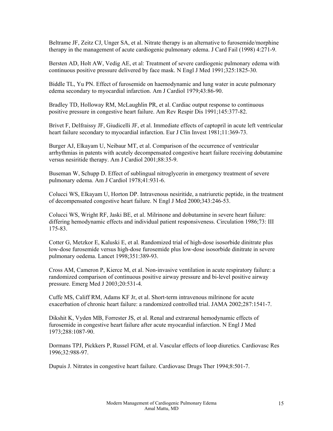Beltrame JF, Zeitz CJ, Unger SA, et al. Nitrate therapy is an alternative to furosemide/morphine therapy in the management of acute cardiogenic pulmonary edema. J Card Fail (1998) 4:271-9.

Bersten AD, Holt AW, Vedig AE, et al: Treatment of severe cardiogenic pulmonary edema with continuous positive pressure delivered by face mask. N Engl J Med 1991;325:1825-30.

Biddle TL, Yu PN. Effect of furosemide on haemodynamic and lung water in acute pulmonary edema secondary to myocardial infarction. Am J Cardiol 1979;43:86-90.

Bradley TD, Holloway RM, McLaughlin PR, et al. Cardiac output response to continuous positive pressure in congestive heart failure. Am Rev Respir Dis 1991;145:377-82.

Brivet F, Delfraissy JF, Giudicelli JF, et al. Immediate effects of captopril in acute left ventricular heart failure secondary to myocardial infarction. Eur J Clin Invest 1981;11:369-73.

Burger AJ, Elkayam U, Neibaur MT, et al. Comparison of the occurrence of ventricular arrhythmias in patents with acutely decompensated congestive heart failure receiving dobutamine versus nesiritide therapy. Am J Cardiol 2001;88:35-9.

Buseman W, Schupp D. Effect of sublingual nitroglycerin in emergency treatment of severe pulmonary edema. Am J Cardiol 1978;41:931-6.

Colucci WS, Elkayam U, Horton DP. Intravenous nesiritide, a natriuretic peptide, in the treatment of decompensated congestive heart failure. N Engl J Med 2000;343:246-53.

Colucci WS, Wright RF, Jaski BE, et al. Milrinone and dobutamine in severe heart failure: differing hemodynamic effects and individual patient responsiveness. Circulation 1986;73: III 175-83.

Cotter G, Metzkor E, Kaluski E, et al. Randomized trial of high-dose isosorbide dinitrate plus low-dose furosemide versus high-dose furosemide plus low-dose isosorbide dinitrate in severe pulmonary oedema. Lancet 1998;351:389-93.

Cross AM, Cameron P, Kierce M, et al. Non-invasive ventilation in acute respiratory failure: a randomized comparison of continuous positive airway pressure and bi-level positive airway pressure. Emerg Med J 2003;20:531-4.

Cuffe MS, Califf RM, Adams KF Jr, et al. Short-term intravenous milrinone for acute exacerbation of chronic heart failure: a randomized controlled trial. JAMA 2002;287:1541-7.

Dikshit K, Vyden MB, Forrester JS, et al. Renal and extrarenal hemodynamic effects of furosemide in congestive heart failure after acute myocardial infarction. N Engl J Med 1973;288:1087-90.

Dormans TPJ, Pickkers P, Russel FGM, et al. Vascular effects of loop diuretics. Cardiovasc Res 1996;32:988-97.

Dupuis J. Nitrates in congestive heart failure. Cardiovasc Drugs Ther 1994;8:501-7.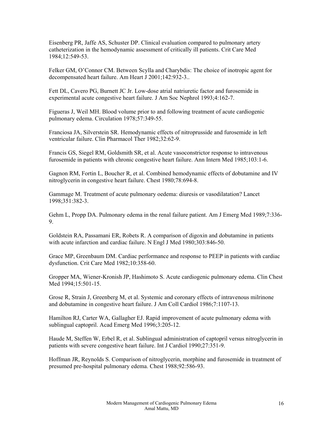Eisenberg PR, Jaffe AS, Schuster DP. Clinical evaluation compared to pulmonary artery catheterization in the hemodynamic assessment of critically ill patients. Crit Care Med 1984;12:549-53.

Felker GM, O'Connor CM. Between Scylla and Charybdis: The choice of inotropic agent for decompensated heart failure. Am Heart J 2001;142:932-3..

Fett DL, Cavero PG, Burnett JC Jr. Low-dose atrial natriuretic factor and furosemide in experimental acute congestive heart failure. J Am Soc Nephrol 1993;4:162-7.

Figueras J, Weil MH. Blood volume prior to and following treatment of acute cardiogenic pulmonary edema. Circulation 1978;57:349-55.

Franciosa JA, Silverstein SR. Hemodynamic effects of nitroprusside and furosemide in left ventricular failure. Clin Pharmacol Ther 1982;32:62-9.

Francis GS, Siegel RM, Goldsmith SR, et al. Acute vasoconstrictor response to intravenous furosemide in patients with chronic congestive heart failure. Ann Intern Med 1985;103:1-6.

Gagnon RM, Fortin L, Boucher R, et al. Combined hemodynamic effects of dobutamine and IV nitroglycerin in congestive heart failure. Chest 1980;78:694-8.

Gammage M. Treatment of acute pulmonary oedema: diuresis or vasodilatation? Lancet 1998;351:382-3.

Gehm L, Propp DA. Pulmonary edema in the renal failure patient. Am J Emerg Med 1989;7:336- 9.

Goldstein RA, Passamani ER, Robets R. A comparison of digoxin and dobutamine in patients with acute infarction and cardiac failure. N Engl J Med 1980;303:846-50.

Grace MP, Greenbaum DM. Cardiac performance and response to PEEP in patients with cardiac dysfunction. Crit Care Med 1982;10:358-60.

Gropper MA, Wiener-Kronish JP, Hashimoto S. Acute cardiogenic pulmonary edema. Clin Chest Med 1994;15:501-15.

Grose R, Strain J, Greenberg M, et al. Systemic and coronary effects of intravenous milrinone and dobutamine in congestive heart failure. J Am Coll Cardiol 1986;7:1107-13.

Hamilton RJ, Carter WA, Gallagher EJ. Rapid improvement of acute pulmonary edema with sublingual captopril. Acad Emerg Med 1996;3:205-12.

Haude M, Steffen W, Erbel R, et al. Sublingual administration of captopril versus nitroglycerin in patients with severe congestive heart failure. Int J Cardiol 1990;27:351-9.

Hoffman JR, Reynolds S. Comparison of nitroglycerin, morphine and furosemide in treatment of presumed pre-hospital pulmonary edema. Chest 1988;92:586-93.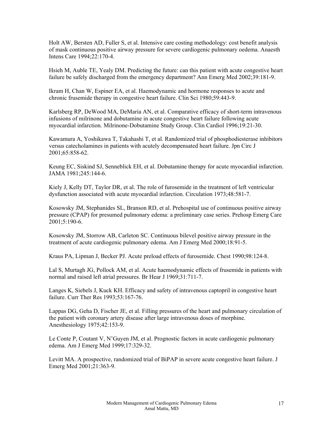Holt AW, Bersten AD, Fuller S, et al. Intensive care costing methodology: cost benefit analysis of mask continuous positive airway pressure for severe cardiogenic pulmonary oedema. Anaesth Intens Care 1994;22:170-4.

Hsieh M, Auble TE, Yealy DM. Predicting the future: can this patient with acute congestive heart failure be safely discharged from the emergency department? Ann Emerg Med 2002;39:181-9.

Ikram H, Chan W, Espiner EA, et al. Haemodynamic and hormone responses to acute and chronic frusemide therapy in congestive heart failure. Clin Sci 1980;59:443-9.

Karlsberg RP, DeWood MA, DeMaria AN, et al. Comparative efficacy of short-term intravenous infusions of milrinone and dobutamine in acute congestive heart failure following acute myocardial infarction. Milrinone-Dobutamine Study Group. Clin Cardiol 1996;19:21-30.

Kawamura A, Yoshikawa T, Takahashi T, et al. Randomized trial of phosphodiesterase inhibitors versus catecholamines in patients with acutely decompensated heart failure. Jpn Circ J 2001;65:858-62.

Keung EC, Siskind SJ, Senneblick EH, et al. Dobutamine therapy for acute myocardial infarction. JAMA 1981;245:144-6.

Kiely J, Kelly DT, Taylor DR, et al. The role of furosemide in the treatment of left ventricular dysfunction associated with acute myocardial infarction. Circulation 1973;48:581-7.

Kosowsky JM, Stephanides SL, Branson RD, et al. Prehospital use of continuous positive airway pressure (CPAP) for presumed pulmonary edema: a preliminary case series. Prehosp Emerg Care 2001;5:190-6.

Kosowsky JM, Storrow AB, Carleton SC. Continuous bilevel positive airway pressure in the treatment of acute cardiogenic pulmonary edema. Am J Emerg Med 2000;18:91-5.

Kraus PA, Lipman J, Becker PJ. Acute preload effects of furosemide. Chest 1990;98:124-8.

Lal S, Murtagh JG, Pollock AM, et al. Acute haemodynamic effects of frusemide in patients with normal and raised left atrial pressures. Br Hear J 1969;31:711-7.

Langes K, Siebels J, Kuck KH. Efficacy and safety of intravenous captopril in congestive heart failure. Curr Ther Res 1993;53:167-76.

Lappas DG, Geha D, Fischer JE, et al. Filling pressures of the heart and pulmonary circulation of the patient with coronary artery disease after large intravenous doses of morphine. Anesthesiology 1975;42:153-9.

Le Conte P, Coutant V, N'Guyen JM, et al. Prognostic factors in acute cardiogenic pulmonary edema. Am J Emerg Med 1999;17:329-32.

Levitt MA. A prospective, randomized trial of BiPAP in severe acute congestive heart failure. J Emerg Med 2001;21:363-9.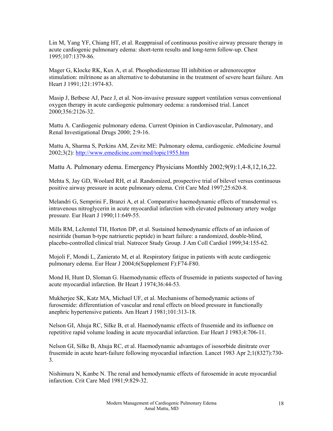Lin M, Yang YF, Chiang HT, et al. Reappraisal of continuous positive airway pressure therapy in acute cardiogenic pulmonary edema: short-term results and long-term follow-up. Chest 1995;107:1379-86.

Mager G, Klocke RK, Kux A, et al. Phosphodiesterase III inhibition or adrenoreceptor stimulation: milrinone as an alternative to dobutamine in the treatment of severe heart failure. Am Heart J 1991;121:1974-83.

Masip J, Betbese AJ, Paez J, et al. Non-invasive pressure support ventilation versus conventional oxygen therapy in acute cardiogenic pulmonary oedema: a randomised trial. Lancet 2000;356:2126-32.

Mattu A. Cardiogenic pulmonary edema. Current Opinion in Cardiovascular, Pulmonary, and Renal Investigational Drugs 2000; 2:9-16.

Mattu A, Sharma S, Perkins AM, Zevitz ME: Pulmonary edema, cardiogenic. eMedicine Journal 2002;3(2): http://www.emedicine.com/med/topic1955.htm

Mattu A. Pulmonary edema. Emergency Physicians Monthly 2002;9(9):1,4-8,12,16,22.

Mehta S, Jay GD, Woolard RH, et al. Randomized, prospective trial of bilevel versus continuous positive airway pressure in acute pulmonary edema. Crit Care Med 1997;25:620-8.

Melandri G, Semprini F, Branzi A, et al. Comparative haemodynamic effects of transdermal vs. intravenous nitroglycerin in acute myocardial infarction with elevated pulmonary artery wedge pressure. Eur Heart J 1990;11:649-55.

Mills RM, LeJemtel TH, Horton DP, et al. Sustained hemodynamic effects of an infusion of nesiritide (human b-type natriuretic peptide) in heart failure: a randomized, double-blind, placebo-controlled clinical trial. Natrecor Study Group. J Am Coll Cardiol 1999;34:155-62.

Mojoli F, Mondi L, Zanierato M, et al. Respiratory fatigue in patients with acute cardiogenic pulmonary edema. Eur Hear J 2004;6(Supplement F):F74-F80.

Mond H, Hunt D, Sloman G. Haemodynamic effects of frusemide in patients suspected of having acute myocardial infarction. Br Heart J 1974;36:44-53.

Mukherjee SK, Katz MA, Michael UF, et al. Mechanisms of hemodynamic actions of furosemide: differentiation of vascular and renal effects on blood pressure in functionally anephric hypertensive patients. Am Heart J 1981;101:313-18.

Nelson GI, Ahuja RC, Silke B, et al. Haemodynamic effects of frusemide and its influence on repetitive rapid volume loading in acute myocardial infarction. Eur Heart J 1983;4:706-11.

Nelson GI, Silke B, Ahuja RC, et al. Haemodynamic advantages of isosorbide dinitrate over frusemide in acute heart-failure following myocardial infarction. Lancet 1983 Apr 2;1(8327):730- 3.

Nishimura N, Kanbe N. The renal and hemodynamic effects of furosemide in acute myocardial infarction. Crit Care Med 1981;9:829-32.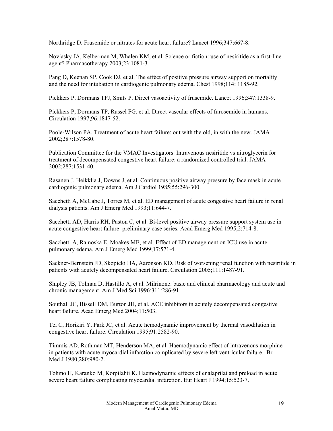Northridge D. Frusemide or nitrates for acute heart failure? Lancet 1996;347:667-8.

Noviasky JA, Kelberman M, Whalen KM, et al. Science or fiction: use of nesiritide as a first-line agent? Pharmacotherapy 2003;23:1081-3.

Pang D, Keenan SP, Cook DJ, et al. The effect of positive pressure airway support on mortality and the need for intubation in cardiogenic pulmonary edema. Chest 1998;114: 1185-92.

Pickkers P, Dormans TPJ, Smits P. Direct vasoactivity of frusemide. Lancet 1996;347:1338-9.

Pickkers P, Dormans TP, Russel FG, et al. Direct vascular effects of furosemide in humans. Circulation 1997;96:1847-52.

Poole-Wilson PA. Treatment of acute heart failure: out with the old, in with the new. JAMA 2002;287:1578-80.

Publication Committee for the VMAC Investigators. Intravenous nesiritide vs nitroglycerin for treatment of decompensated congestive heart failure: a randomized controlled trial. JAMA 2002;287:1531-40.

Rasanen J, Heikklia J, Downs J, et al. Continuous positive airway pressure by face mask in acute cardiogenic pulmonary edema. Am J Cardiol 1985;55:296-300.

Sacchetti A, McCabe J, Torres M, et al. ED management of acute congestive heart failure in renal dialysis patients. Am J Emerg Med 1993;11:644-7.

Sacchetti AD, Harris RH, Paston C, et al. Bi-level positive airway pressure support system use in acute congestive heart failure: preliminary case series. Acad Emerg Med 1995;2:714-8.

Sacchetti A, Ramoska E, Moakes ME, et al. Effect of ED management on ICU use in acute pulmonary edema. Am J Emerg Med 1999;17:571-4.

Sackner-Bernstein JD, Skopicki HA, Aaronson KD. Risk of worsening renal function with nesiritide in patients with acutely decompensated heart failure. Circulation 2005;111:1487-91.

Shipley JB, Tolman D, Hastillo A, et al. Milrinone: basic and clinical pharmacology and acute and chronic management. Am J Med Sci 1996;311:286-91.

Southall JC, Bissell DM, Burton JH, et al. ACE inhibitors in acutely decompensated congestive heart failure. Acad Emerg Med 2004;11:503.

Tei C, Horikiri Y, Park JC, et al. Acute hemodynamic improvement by thermal vasodilation in congestive heart failure. Circulation 1995;91:2582-90.

Timmis AD, Rothman MT, Henderson MA, et al. Haemodynamic effect of intravenous morphine in patients with acute myocardial infarction complicated by severe left ventricular failure. Br Med J 1980;280:980-2.

Tohmo H, Karanko M, Korpilahti K. Haemodynamic effects of enalaprilat and preload in acute severe heart failure complicating myocardial infarction. Eur Heart J 1994;15:523-7.